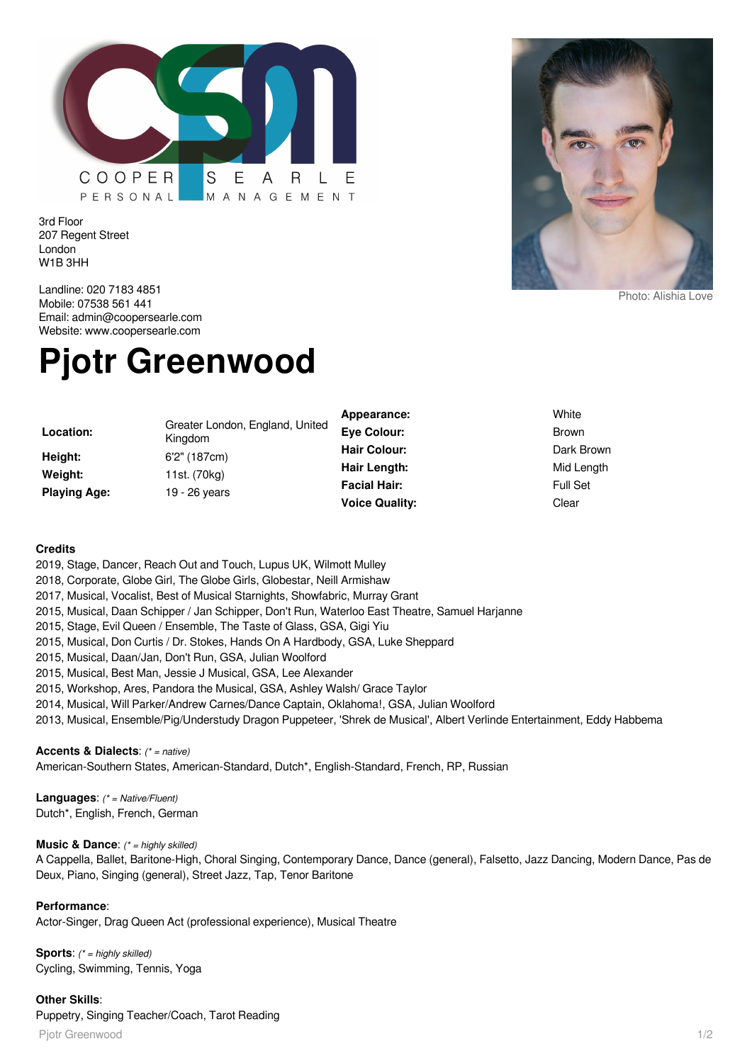

3rd Floor 207 Regent Street London W1B 3HH



# **Pjotr Greenwood**

| Location:<br>Height:<br>Weight:<br><b>Playing Age:</b> | Greater London, England, United<br>Kingdom<br>6'2" (187cm)<br>11st. (70kg)<br>19 - 26 years | Appearance:<br><b>Eye Colour:</b>   | White<br><b>Brown</b>         |
|--------------------------------------------------------|---------------------------------------------------------------------------------------------|-------------------------------------|-------------------------------|
|                                                        |                                                                                             | <b>Hair Colour:</b>                 | Dark Brown                    |
|                                                        |                                                                                             | Hair Length:<br><b>Facial Hair:</b> | Mid Length<br><b>Full Set</b> |
|                                                        |                                                                                             | <b>Voice Quality:</b>               | Clear                         |

#### **Credits**

2019, Stage, Dancer, Reach Out and Touch, Lupus UK, Wilmott Mulley

- 2018, Corporate, Globe Girl, The Globe Girls, Globestar, Neill Armishaw
- 2017, Musical, Vocalist, Best of Musical Starnights, Showfabric, Murray Grant
- 2015, Musical, Daan Schipper / Jan Schipper, Don't Run, Waterloo East Theatre, Samuel Harjanne
- 2015, Stage, Evil Queen / Ensemble, The Taste of Glass, GSA, Gigi Yiu
- 2015, Musical, Don Curtis / Dr. Stokes, Hands On A Hardbody, GSA, Luke Sheppard
- 2015, Musical, Daan/Jan, Don't Run, GSA, Julian Woolford
- 2015, Musical, Best Man, Jessie J Musical, GSA, Lee Alexander
- 2015, Workshop, Ares, Pandora the Musical, GSA, Ashley Walsh/ Grace Taylor
- 2014, Musical, Will Parker/Andrew Carnes/Dance Captain, Oklahoma!, GSA, Julian Woolford
- 2013, Musical, Ensemble/Pig/Understudy Dragon Puppeteer, 'Shrek de Musical', Albert Verlinde Entertainment, Eddy Habbema

## **Accents & Dialects**: (\* = native)

American-Southern States, American-Standard, Dutch\*, English-Standard, French, RP, Russian

**Languages**: (\* = Native/Fluent) Dutch\*, English, French, German

### **Music & Dance:** (\* = highly skilled)

A Cappella, Ballet, Baritone-High, Choral Singing, Contemporary Dance, Dance (general), Falsetto, Jazz Dancing, Modern Dance, Pas de Deux, Piano, Singing (general), Street Jazz, Tap, Tenor Baritone

### **Performance**:

Actor-Singer, Drag Queen Act (professional experience), Musical Theatre

**Sports**: (\* = highly skilled) Cycling, Swimming, Tennis, Yoga

## **Other Skills**:

Puppetry, Singing Teacher/Coach, Tarot Reading

Pjotr Greenwood 1/2